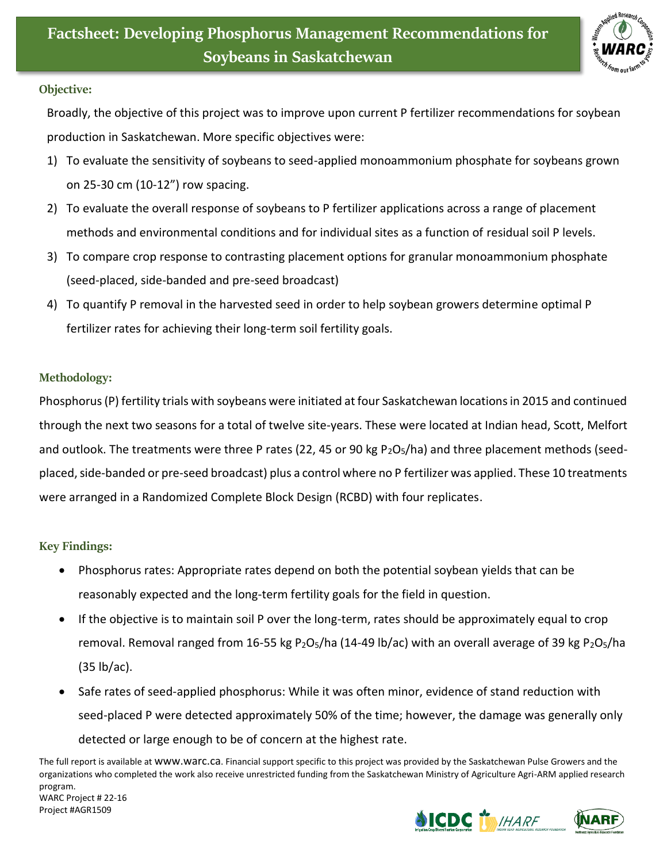

## **Objective:**

Broadly, the objective of this project was to improve upon current P fertilizer recommendations for soybean production in Saskatchewan. More specific objectives were:

- 1) To evaluate the sensitivity of soybeans to seed-applied monoammonium phosphate for soybeans grown on 25-30 cm (10-12") row spacing.
- 2) To evaluate the overall response of soybeans to P fertilizer applications across a range of placement methods and environmental conditions and for individual sites as a function of residual soil P levels.
- 3) To compare crop response to contrasting placement options for granular monoammonium phosphate (seed-placed, side-banded and pre-seed broadcast)
- 4) To quantify P removal in the harvested seed in order to help soybean growers determine optimal P fertilizer rates for achieving their long-term soil fertility goals.

## **Methodology:**

Phosphorus (P) fertility trials with soybeans were initiated at four Saskatchewan locations in 2015 and continued through the next two seasons for a total of twelve site-years. These were located at Indian head, Scott, Melfort and outlook. The treatments were three P rates (22, 45 or 90 kg P<sub>2</sub>O<sub>5</sub>/ha) and three placement methods (seedplaced, side-banded or pre-seed broadcast) plus a control where no P fertilizer was applied. These 10 treatments were arranged in a Randomized Complete Block Design (RCBD) with four replicates.

## **Key Findings:**

- Phosphorus rates: Appropriate rates depend on both the potential soybean yields that can be reasonably expected and the long-term fertility goals for the field in question.
- If the objective is to maintain soil P over the long-term, rates should be approximately equal to crop removal. Removal ranged from 16-55 kg P<sub>2</sub>O<sub>5</sub>/ha (14-49 lb/ac) with an overall average of 39 kg P<sub>2</sub>O<sub>5</sub>/ha (35 lb/ac).
- Safe rates of seed-applied phosphorus: While it was often minor, evidence of stand reduction with seed-placed P were detected approximately 50% of the time; however, the damage was generally only detected or large enough to be of concern at the highest rate.

The full report is available at [www.warc.ca](http://www.warc.ca/). Financial support specific to this project was provided by the Saskatchewan Pulse Growers and the organizations who completed the work also receive unrestricted funding from the Saskatchewan Ministry of Agriculture Agri-ARM applied research program. WARC Project # 22-16

Project #AGR1509